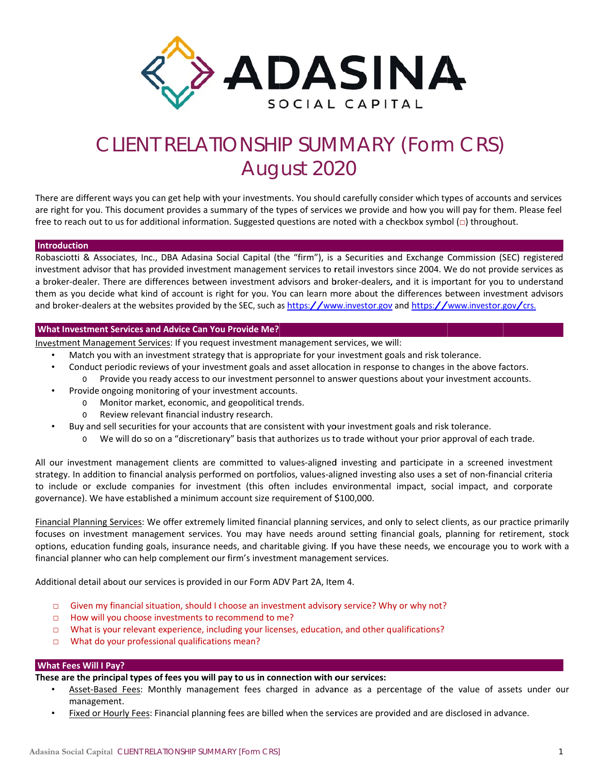

# CLIENT RELATIONSHIP SUMMARY (Form CRS) August 2020

There are different ways you can get help with your investments. You should carefully consider which types of accounts and services are right for you. This document provides a summary of the types of services we provide and how you will pay for them. Please feel free to reach out to us for additional information. Suggested questions are noted with a checkbox symbol ( $\Box$ ) throughout.

#### Introduction

Robasciotti & Associates, Inc., DBA Adasina Social Capital (the "firm"), is a Securities and Exchange Commission (SEC) registered investment advisor that has provided investment management services to retail investors since 2004. We do not provide services as a broker-dealer. There are differences between investment advisors and broker-dealers, and it is important for you to understand them as you decide what kind of account is right for you. You can learn more about the differences between investment advisors and broker-dealers at the websites provided by the SEC, such as https://www.investor.gov and https://www.investor.gov/crs.

## **What Investment Services and Advice Can You Provide Me?**

Investment Management Services: If you request investment management services, we will:

- Match you with an investment strategy that is appropriate for your investment goals and risk tolerance.
- Conduct periodic reviews of your investment goals and asset allocation in response to changes in the above factors.
	- Provide you ready access to our investment personnel to answer questions about your investment accounts.  $\circ$
- Provide ongoing monitoring of your investment accounts.
	- $\Omega$ Monitor market, economic, and geopolitical trends.
		- o Review relevant financial industry research.
- Buy and sell securities for your accounts that are consistent with your investment goals and risk tolerance.
	- We will do so on a "discretionary" basis that authorizes us to trade without your prior approval of each trade.

All our investment management clients are committed to values-aligned investing and participate in a screened investment strategy. In addition to financial analysis performed on portfolios, values-aligned investing also uses a set of non-financial criteria to include or exclude companies for investment (this often includes environmental impact, social impact, and corporate governance). We have established a minimum account size requirement of \$100,000.

Financial Planning Services: We offer extremely limited financial planning services, and only to select clients, as our practice primarily focuses on investment management services. You may have needs around setting financial goals, planning for retirement, stock options, education funding goals, insurance needs, and charitable giving. If you have these needs, we encourage you to work with a financial planner who can help complement our firm's investment management services.

Additional detail about our services is provided in our Form ADV Part 2A, Item 4.

- $\Box$ Given my financial situation, should I choose an investment advisory service? Why or why not?
- How will you choose investments to recommend to me?  $\Box$
- What is your relevant experience, including your licenses, education, and other qualifications?  $\Box$
- What do your professional qualifications mean?  $\Box$

## **What Fees Will I Pay?**

These are the principal types of fees you will pay to us in connection with our services:

- Asset-Based Fees: Monthly management fees charged in advance as a percentage of the value of assets under our management.
- Fixed or Hourly Fees: Financial planning fees are billed when the services are provided and are disclosed in advance.